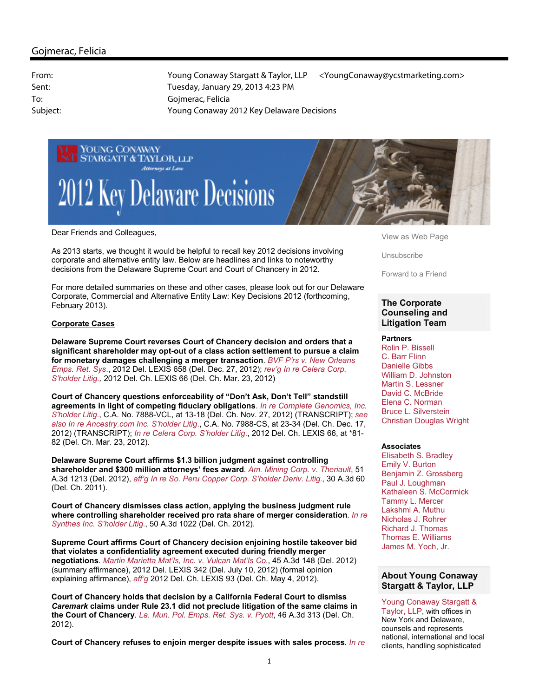

Dear Friends and Colleagues,

As 2013 starts, we thought it would be helpful to recall key 2012 decisions involving corporate and alternative entity law. Below are headlines and links to noteworthy decisions from the Delaware Supreme Court and Court of Chancery in 2012.

For more detailed summaries on these and other cases, please look out for our Delaware Corporate, Commercial and Alternative Entity Law: Key Decisions 2012 (forthcoming, February 2013).

## **Corporate Cases**

**Delaware Supreme Court reverses Court of Chancery decision and orders that a significant shareholder may opt-out of a class action settlement to pursue a claim for monetary damages challenging a merger transaction**. *BVF P'rs v. New Orleans Emps. Ret. Sys*., 2012 Del. LEXIS 658 (Del. Dec. 27, 2012); *rev'g In re Celera Corp. S'holder Litig.,* 2012 Del. Ch. LEXIS 66 (Del. Ch. Mar. 23, 2012)

**Court of Chancery questions enforceability of "Don't Ask, Don't Tell" standstill agreements in light of competing fiduciary obligations**. *In re Complete Genomics, Inc. S'holder Litig*., C.A. No. 7888-VCL, at 13-18 (Del. Ch. Nov. 27, 2012) (TRANSCRIPT); *see also In re Ancestry.com Inc. S'holder Litig*., C.A. No. 7988-CS, at 23-34 (Del. Ch. Dec. 17, 2012) (TRANSCRIPT); *In re Celera Corp. S'holder Litig*., 2012 Del. Ch. LEXIS 66, at \*81- 82 (Del. Ch. Mar. 23, 2012).

**Delaware Supreme Court affirms \$1.3 billion judgment against controlling shareholder and \$300 million attorneys' fees award**. *Am. Mining Corp. v. Theriault*, 51 A.3d 1213 (Del. 2012), *aff'g In re So. Peru Copper Corp. S'holder Deriv. Litig*., 30 A.3d 60 (Del. Ch. 2011).

**Court of Chancery dismisses class action, applying the business judgment rule where controlling shareholder received pro rata share of merger consideration**. *In re Synthes Inc. S'holder Litig*., 50 A.3d 1022 (Del. Ch. 2012).

**Supreme Court affirms Court of Chancery decision enjoining hostile takeover bid that violates a confidentiality agreement executed during friendly merger negotiations**. *Martin Marietta Mat'ls, Inc. v. Vulcan Mat'ls Co*., 45 A.3d 148 (Del. 2012) (summary affirmance), 2012 Del. LEXIS 342 (Del. July 10, 2012) (formal opinion explaining affirmance), *aff'g* 2012 Del. Ch. LEXIS 93 (Del. Ch. May 4, 2012).

**Court of Chancery holds that decision by a California Federal Court to dismiss** *Caremark* **claims under Rule 23.1 did not preclude litigation of the same claims in the Court of Chancery**. *La. Mun. Pol. Emps. Ret. Sys. v. Pyott*, 46 A.3d 313 (Del. Ch. 2012).

**Court of Chancery refuses to enjoin merger despite issues with sales process**. *In re* 

View as Web Page

Unsubscribe

Forward to a Friend

# **The Corporate Counseling and Litigation Team**

### **Partners**

Rolin P. Bissell C. Barr Flinn Danielle Gibbs William D. Johnston Martin S. Lessner David C. McBride Elena C. Norman Bruce L. Silverstein Christian Douglas Wright

### **Associates**

Elisabeth S. Bradley Emily V. Burton Benjamin Z. Grossberg Paul J. Loughman Kathaleen S. McCormick Tammy L. Mercer Lakshmi A. Muthu Nicholas J. Rohrer Richard J. Thomas Thomas E. Williams James M. Yoch, Jr.

# **About Young Conaway Stargatt & Taylor, LLP**

Young Conaway Stargatt & Taylor, LLP, with offices in New York and Delaware, counsels and represents national, international and local clients, handling sophisticated